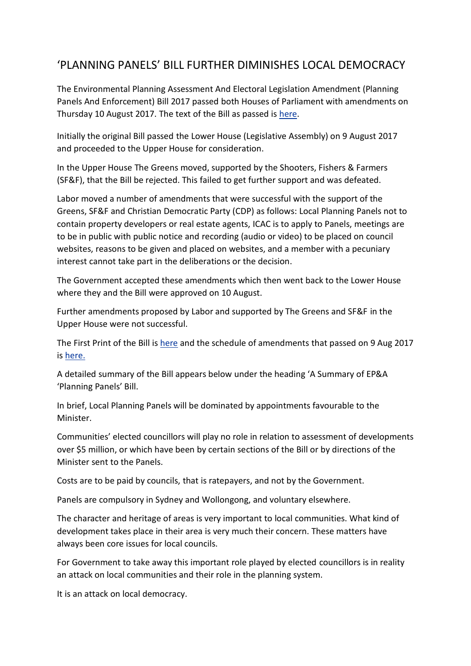## 'PLANNING PANELS' BILL FURTHER DIMINISHES LOCAL DEMOCRACY

The Environmental Planning Assessment And Electoral Legislation Amendment (Planning Panels And Enforcement) Bill 2017 passed both Houses of Parliament with amendments on Thursday 10 August 2017. The text of the Bill as passed is [here.](https://www.parliament.nsw.gov.au/bills/DBAssets/bills/BillText/3420/b2017-082-d08_House.pdf)

Initially the original Bill passed the Lower House (Legislative Assembly) on 9 August 2017 and proceeded to the Upper House for consideration.

In the Upper House The Greens moved, supported by the Shooters, Fishers & Farmers (SF&F), that the Bill be rejected. This failed to get further support and was defeated.

Labor moved a number of amendments that were successful with the support of the Greens, SF&F and Christian Democratic Party (CDP) as follows: Local Planning Panels not to contain property developers or real estate agents, ICAC is to apply to Panels, meetings are to be in public with public notice and recording (audio or video) to be placed on council websites, reasons to be given and placed on websites, and a member with a pecuniary interest cannot take part in the deliberations or the decision.

The Government accepted these amendments which then went back to the Lower House where they and the Bill were approved on 10 August.

Further amendments proposed by Labor and supported by The Greens and SF&F in the Upper House were not successful.

The First Print of the Bill is [here](https://www.parliament.nsw.gov.au/bills/DBAssets/bills/BillText/3420/b2017-082-d08_House.pdf) and the schedule of amendments that passed on 9 Aug 2017 is [here.](https://www.parliament.nsw.gov.au/bills/DBAssets/bills/LCAmendments/3420/Schedule%20of%20Amendments%20-%20Environmental%20Planning%20Assessment.pdf)

A detailed summary of the Bill appears below under the heading 'A Summary of EP&A 'Planning Panels' Bill.

In brief, Local Planning Panels will be dominated by appointments favourable to the Minister.

Communities' elected councillors will play no role in relation to assessment of developments over \$5 million, or which have been by certain sections of the Bill or by directions of the Minister sent to the Panels.

Costs are to be paid by councils, that is ratepayers, and not by the Government.

Panels are compulsory in Sydney and Wollongong, and voluntary elsewhere.

The character and heritage of areas is very important to local communities. What kind of development takes place in their area is very much their concern. These matters have always been core issues for local councils.

For Government to take away this important role played by elected councillors is in reality an attack on local communities and their role in the planning system.

It is an attack on local democracy.